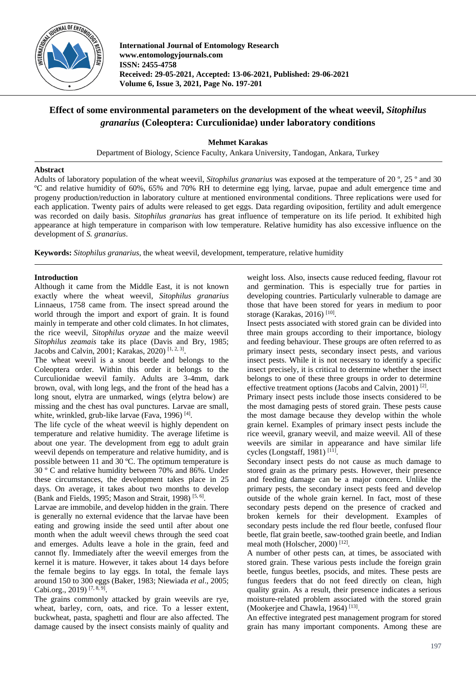

**International Journal of Entomology Research www.entomologyjournals.com ISSN: 2455-4758 Received: 29-05-2021, Accepted: 13-06-2021, Published: 29-06-2021 Volume 6, Issue 3, 2021, Page No. 197-201**

# **Effect of some environmental parameters on the development of the wheat weevil,** *Sitophilus granarius* **(Coleoptera: Curculionidae) under laboratory conditions**

**Mehmet Karakas**

Department of Biology, Science Faculty, Ankara University, Tandogan, Ankara, Turkey

# **Abstract**

Adults of laboratory population of the wheat weevil, *Sitophilus granarius* was exposed at the temperature of 20 º, 25 º and 30 ºC and relative humidity of 60%, 65% and 70% RH to determine egg lying, larvae, pupae and adult emergence time and progeny production/reduction in laboratory culture at mentioned environmental conditions. Three replications were used for each application. Twenty pairs of adults were released to get eggs. Data regarding oviposition, fertility and adult emergence was recorded on daily basis. *Sitophilus granarius* has great influence of temperature on its life period. It exhibited high appearance at high temperature in comparison with low temperature. Relative humidity has also excessive influence on the development of *S. granarius*.

**Keywords:** *Sitophilus granarius*, the wheat weevil, development, temperature, relative humidity

# **Introduction**

Although it came from the Middle East, it is not known exactly where the wheat weevil, *Sitophilus granarius*  Linnaeus, 1758 came from. The insect spread around the world through the import and export of grain. It is found mainly in temperate and other cold climates. In hot climates, the rice weevil, *Sitophilus oryzae* and the maize weevil *Sitophilus zeamais* take its place (Davis and Bry, 1985; Jacobs and Calvin, 2001; Karakas, 2020)<sup>[1, 2, 3]</sup>.

The wheat weevil is a snout beetle and belongs to the Coleoptera order. Within this order it belongs to the Curculionidae weevil family. Adults are 3-4mm, dark brown, oval, with long legs, and the front of the head has a long snout, elytra are unmarked, wings (elytra below) are missing and the chest has oval punctures. Larvae are small, white, wrinkled, grub-like larvae (Fava, 1996)<sup>[4]</sup>.

The life cycle of the wheat weevil is highly dependent on temperature and relative humidity. The average lifetime is about one year. The development from egg to adult grain weevil depends on temperature and relative humidity, and is possible between 11 and 30 ºC. The optimum temperature is 30 º C and relative humidity between 70% and 86%. Under these circumstances, the development takes place in 25 days. On average, it takes about two months to develop (Bank and Fields, 1995; Mason and Strait, 1998)<sup>[5, 6]</sup>.

Larvae are immobile, and develop hidden in the grain. There is generally no external evidence that the larvae have been eating and growing inside the seed until after about one month when the adult weevil chews through the seed coat and emerges. Adults leave a hole in the grain, feed and cannot fly. Immediately after the weevil emerges from the kernel it is mature. However, it takes about 14 days before the female begins to lay eggs. In total, the female lays around 150 to 300 eggs (Baker, 1983; Niewiada *et al*., 2005; Cabi.org., 2019)<sup>[7, 8, 9]</sup>.

The grains commonly attacked by grain weevils are rye, wheat, barley, corn, oats, and rice. To a lesser extent, buckwheat, pasta, spaghetti and flour are also affected. The damage caused by the insect consists mainly of quality and weight loss. Also, insects cause reduced feeding, flavour rot and germination. This is especially true for parties in developing countries. Particularly vulnerable to damage are those that have been stored for years in medium to poor storage (Karakas, 2016)<sup>[10]</sup>.

Insect pests associated with stored grain can be divided into three main groups according to their importance, biology and feeding behaviour. These groups are often referred to as primary insect pests, secondary insect pests, and various insect pests. While it is not necessary to identify a specific insect precisely, it is critical to determine whether the insect belongs to one of these three groups in order to determine effective treatment options (Jacobs and Calvin, 2001)<sup>[2]</sup>.

Primary insect pests include those insects considered to be the most damaging pests of stored grain. These pests cause the most damage because they develop within the whole grain kernel. Examples of primary insect pests include the rice weevil, granary weevil, and maize weevil. All of these weevils are similar in appearance and have similar life cycles (Longstaff, 1981)<sup>[11]</sup>.

Secondary insect pests do not cause as much damage to stored grain as the primary pests. However, their presence and feeding damage can be a major concern. Unlike the primary pests, the secondary insect pests feed and develop outside of the whole grain kernel. In fact, most of these secondary pests depend on the presence of cracked and broken kernels for their development. Examples of secondary pests include the red flour beetle, confused flour beetle, flat grain beetle, saw-toothed grain beetle, and Indian meal moth (Holscher, 2000)<sup>[12]</sup>.

A number of other pests can, at times, be associated with stored grain. These various pests include the foreign grain beetle, fungus beetles, psocids, and mites. These pests are fungus feeders that do not feed directly on clean, high quality grain. As a result, their presence indicates a serious moisture-related problem associated with the stored grain (Mookerjee and Chawla, 1964)<sup>[13]</sup>.

An effective integrated pest management program for stored grain has many important components. Among these are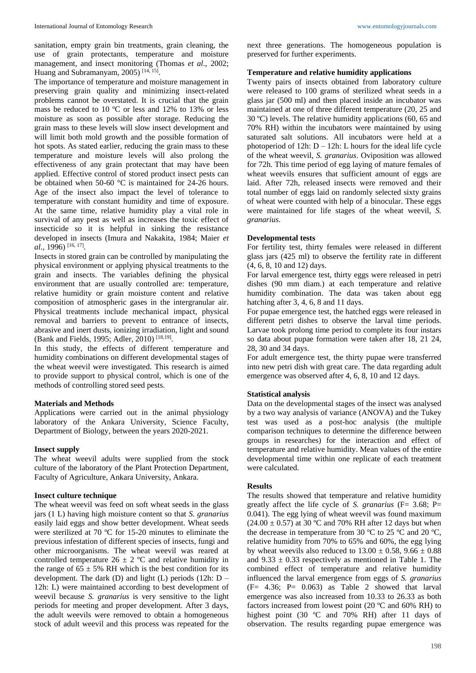sanitation, empty grain bin treatments, grain cleaning, the use of grain protectants, temperature and moisture management, and insect monitoring (Thomas *et al*., 2002; Huang and Subramanyam, 2005)<sup>[14, 15]</sup>.

The importance of temperature and moisture management in preserving grain quality and minimizing insect-related problems cannot be overstated. It is crucial that the grain mass be reduced to 10 ºC or less and 12% to 13% or less moisture as soon as possible after storage. Reducing the grain mass to these levels will slow insect development and will limit both mold growth and the possible formation of hot spots. As stated earlier, reducing the grain mass to these temperature and moisture levels will also prolong the effectiveness of any grain protectant that may have been applied. Effective control of stored product insect pests can be obtained when 50-60 °C is maintained for 24-26 hours. Age of the insect also impact the level of tolerance to temperature with constant humidity and time of exposure. At the same time, relative humidity play a vital role in survival of any pest as well as increases the toxic effect of insecticide so it is helpful in sinking the resistance developed in insects (Imura and Nakakita, 1984; Maier *et al*., 1996) [16, 17] .

Insects in stored grain can be controlled by manipulating the physical environment or applying physical treatments to the grain and insects. The variables defining the physical environment that are usually controlled are: temperature, relative humidity or grain moisture content and relative composition of atmospheric gases in the intergranular air. Physical treatments include mechanical impact, physical removal and barriers to prevent to entrance of insects, abrasive and inert dusts, ionizing irradiation, light and sound (Bank and Fields, 1995; Adler, 2010)<sup>[18,19]</sup>.

In this study, the effects of different temperature and humidity combinations on different developmental stages of the wheat weevil were investigated. This research is aimed to provide support to physical control, which is one of the methods of controlling stored seed pests.

#### **Materials and Methods**

Applications were carried out in the animal physiology laboratory of the Ankara University, Science Faculty, Department of Biology, between the years 2020-2021.

#### **Insect supply**

The wheat weevil adults were supplied from the stock culture of the laboratory of the Plant Protection Department, Faculty of Agriculture, Ankara University, Ankara.

#### **Insect culture technique**

The wheat weevil was feed on soft wheat seeds in the glass jars (1 L) having high moisture content so that *S. granarius* easily laid eggs and show better development. Wheat seeds were sterilized at 70 ºC for 15-20 minutes to eliminate the previous infestation of different species of insects, fungi and other microorganisms. The wheat weevil was reared at controlled temperature  $26 \pm 2$  °C and relative humidity in the range of  $65 \pm 5\%$  RH which is the best condition for its development. The dark (D) and light (L) periods  $(12h: D -$ 12h: L) were maintained according to best development of weevil because *S. granarius* is very sensitive to the light periods for meeting and proper development. After 3 days, the adult weevils were removed to obtain a homogeneous stock of adult weevil and this process was repeated for the

next three generations. The homogeneous population is preserved for further experiments.

#### **Temperature and relative humidity applications**

Twenty pairs of insects obtained from laboratory culture were released to 100 grams of sterilized wheat seeds in a glass jar (500 ml) and then placed inside an incubator was maintained at one of three different temperature (20, 25 and 30 ºC) levels. The relative humidity applications (60, 65 and 70% RH) within the incubators were maintained by using saturated salt solutions. All incubators were held at a photoperiod of 12h:  $D - 12h$ : L hours for the ideal life cycle of the wheat weevil, *S. granarius*. Oviposition was allowed for 72h. This time period of egg laying of mature females of wheat weevils ensures that sufficient amount of eggs are laid. After 72h, released insects were removed and their total number of eggs laid on randomly selected sixty grains of wheat were counted with help of a binocular. These eggs were maintained for life stages of the wheat weevil, *S. granarius*.

#### **Developmental tests**

For fertility test, thirty females were released in different glass jars (425 ml) to observe the fertility rate in different (4, 6, 8, 10 and 12) days.

For larval emergence test, thirty eggs were released in petri dishes (90 mm diam.) at each temperature and relative humidity combination. The data was taken about egg hatching after 3, 4, 6, 8 and 11 days.

For pupae emergence test, the hatched eggs were released in different petri dishes to observe the larval time periods. Larvae took prolong time period to complete its four instars so data about pupae formation were taken after 18, 21 24, 28, 30 and 34 days.

For adult emergence test, the thirty pupae were transferred into new petri dish with great care. The data regarding adult emergence was observed after 4, 6, 8, 10 and 12 days.

#### **Statistical analysis**

Data on the developmental stages of the insect was analysed by a two way analysis of variance (ANOVA) and the Tukey test was used as a post-hoc analysis (the multiple comparison techniques to determine the difference between groups in researches) for the interaction and effect of temperature and relative humidity. Mean values of the entire developmental time within one replicate of each treatment were calculated.

#### **Results**

The results showed that temperature and relative humidity greatly affect the life cycle of *S. granarius* ( $F = 3.68$ ; P= 0.041). The egg lying of wheat weevil was found maximum  $(24.00 \pm 0.57)$  at 30 °C and 70% RH after 12 days but when the decrease in temperature from 30  $^{\circ}$ C to 25  $^{\circ}$ C and 20  $^{\circ}$ C, relative humidity from 70% to 65% and 60%, the egg lying by wheat weevils also reduced to  $13.00 \pm 0.58$ ,  $9.66 \pm 0.88$ and  $9.33 \pm 0.33$  respectively as mentioned in Table 1. The combined effect of temperature and relative humidity influenced the larval emergence from eggs of *S. granarius*  $(F= 4.36; P= 0.063)$  as Table 2 showed that larval emergence was also increased from 10.33 to 26.33 as both factors increased from lowest point (20 ºC and 60% RH) to highest point (30 °C and 70% RH) after 11 days of observation. The results regarding pupae emergence was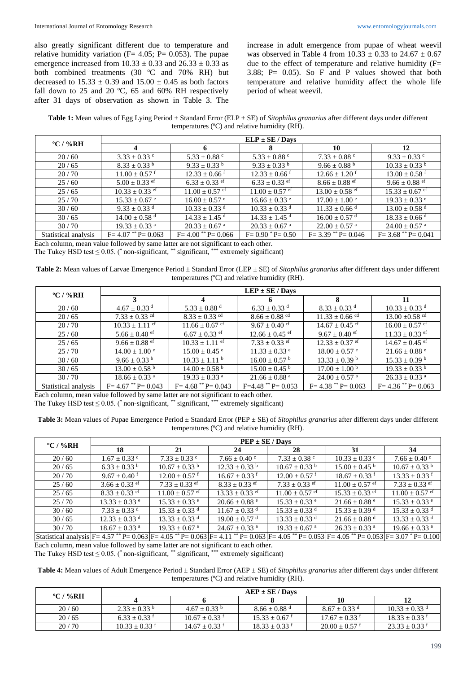also greatly significant different due to temperature and relative humidity variation ( $F= 4.05$ ;  $P= 0.053$ ). The pupae emergence increased from  $10.33 \pm 0.33$  and  $26.33 \pm 0.33$  as both combined treatments (30 ºC and 70% RH) but decreased to  $15.33 \pm 0.39$  and  $15.00 \pm 0.45$  as both factors fall down to 25 and 20 ºC, 65 and 60% RH respectively after 31 days of observation as shown in Table 3. The increase in adult emergence from pupae of wheat weevil was observed in Table 4 from  $10.33 \pm 0.33$  to  $24.67 \pm 0.67$ due to the effect of temperature and relative humidity (F= 3.88; P= 0.05). So F and P values showed that both temperature and relative humidity affect the whole life period of wheat weevil.

**Table 1:** Mean values of Egg Lying Period ± Standard Error (ELP ± SE) of *Sitophilus granarius* after different days under different temperatures (ºC) and relative humidity (RH).

| $\rm ^{o}C$ / %RH    | $ELP \pm SE / Days$           |                               |                                 |                                |                                |  |
|----------------------|-------------------------------|-------------------------------|---------------------------------|--------------------------------|--------------------------------|--|
|                      | 4                             | 6                             | Х                               | 10                             | 12                             |  |
| 20/60                | $3.33 \pm 0.33$ c             | $5.33 \pm 0.88$ °             | 5.33 $\pm$ 0.88 $\degree$       | $7.33 \pm 0.88$ c              | $9.33 \pm 0.33$ c              |  |
| 20/65                | $8.33 \pm 0.33$ b             | $9.33 \pm 0.33$ b             | $9.33 \pm 0.33$ b               | $9.66 \pm 0.88$ <sup>b</sup>   | $10.33 \pm 0.33$ b             |  |
| 20/70                | $11.00 \pm 0.57$ f            | $12.33 \pm 0.66$ <sup>f</sup> | $12.33 \pm 0.66$ <sup>f</sup>   | $12.66 \pm 1.20$ <sup>f</sup>  | $13.00 \pm 0.58$ f             |  |
| 25/60                | $5.00 \pm 0.33$ ef            | $6.33 \pm 0.33$ ef            | $6.33 \pm 0.33$ ef              | $8.66 \pm 0.88$ e <sup>f</sup> | $9.66 \pm 0.88$ e <sup>f</sup> |  |
| 25/65                | $10.33 \pm 0.33$ ef           | $11.00 \pm 0.57$ ef           | $11.00 \pm 0.57$ e <sup>f</sup> | $13.00 \pm 0.58$ ef            | $15.33 \pm 0.67$ ef            |  |
| 25/70                | $15.33 \pm 0.67$ e            | $16.00 \pm 0.57$ e            | $16.66 \pm 0.33$ e              | $17.00 \pm 1.00$ <sup>e</sup>  | $19.33 \pm 0.33$ e             |  |
| 30/60                | $9.33 \pm 0.33$ d             | $10.33 \pm 0.33$ <sup>d</sup> | $10.33 \pm 0.33$ <sup>d</sup>   | $11.33 \pm 0.66$ <sup>d</sup>  | $13.00 \pm 0.58$ <sup>d</sup>  |  |
| 30/65                | $14.00 \pm 0.58$ <sup>d</sup> | $14.33 \pm 1.45$ <sup>d</sup> | $14.33 \pm 1.45$ <sup>d</sup>   | $16.00 \pm 0.57$ <sup>d</sup>  | $18.33 \pm 0.66$ <sup>d</sup>  |  |
| 30/70                | $19.33 \pm 0.33$ <sup>a</sup> | $20.33 \pm 0.67$ <sup>a</sup> | $20.33 \pm 0.67$ <sup>a</sup>   | $22.00 \pm 0.57$ <sup>a</sup>  | $24.00 \pm 0.57$ <sup>a</sup>  |  |
| Statistical analysis | $F = 4.07$ ** $P = 0.063$     | $F = 4.00$ ** $P = 0.066$     | $F = 0.90$ $^*$ P $= 0.50$      | $F = 3.39$ ** $P = 0.046$      | $F = 3.68$ ** $P = 0.041$      |  |

Each column, mean value followed by same latter are not significant to each other.

The Tukey HSD test  $\leq 0.05$ . (\* non-significant, \*\*\* significant, \*\*\* extremely significant)

**Table 2:** Mean values of Larvae Emergence Period ± Standard Error (LEP ± SE) of *Sitophilus granarius* after different days under different temperatures (ºC) and relative humidity (RH).

| $\rm ^{o}C$ / %RH    | $LEP \pm SE / Days$           |                               |                                 |                                |                                |  |  |
|----------------------|-------------------------------|-------------------------------|---------------------------------|--------------------------------|--------------------------------|--|--|
|                      | 3                             | 4                             | n                               | -8                             | -11                            |  |  |
| 20/60                | $4.67 \pm 0.33$ <sup>d</sup>  | $5.33 \pm 0.88$ <sup>d</sup>  | $6.33 \pm 0.33$ d               | $8.33 \pm 0.33$ d              | $10.33 \pm 0.33$ <sup>d</sup>  |  |  |
| 20/65                | $7.33 \pm 0.33$ <sup>cd</sup> | $8.33 \pm 0.33$ <sup>cd</sup> | $8.66 \pm 0.88$ <sup>cd</sup>   | $11.33 \pm 0.66$ <sup>cd</sup> | $13.00 \pm 0.58$ <sup>cd</sup> |  |  |
| 20/70                | $10.33 \pm 1.11$ cf           | $11.66 \pm 0.67$ cf           | $9.67 \pm 0.40$ cf              | $14.67 \pm 0.45$ cf            | $16.00 \pm 0.57$ cf            |  |  |
| 25/60                | $5.66 \pm 0.40$ ef            | $6.67 \pm 0.33$ ef            | $12.66 \pm 0.45$ e <sup>f</sup> | $9.67 \pm 0.40$ ef             | $11.33 \pm 0.33$ ef            |  |  |
| 25/65                | $9.66 \pm 0.88$ ef            | $10.33 \pm 1.11$ ef           | $7.33 \pm 0.33$ ef              | $12.33 \pm 0.37$ ef            | $14.67 \pm 0.45$ ef            |  |  |
| 25/70                | $14.00 \pm 1.00$ <sup>e</sup> | $15.00 \pm 0.45$ <sup>e</sup> | $11.33 \pm 0.33$ e              | $18.00 \pm 0.57$ °             | $21.66 \pm 0.88$ <sup>e</sup>  |  |  |
| 30/60                | $9.66 \pm 0.33$ b             | $10.33 \pm 1.11$ b            | $16.00 \pm 0.57$ <sup>b</sup>   | $13.33 \pm 0.39$ b             | $15.33 \pm 0.39$ <sup>b</sup>  |  |  |
| 30/65                | $13.00 \pm 0.58$ <sup>b</sup> | $14.00 \pm 0.58$ <sup>b</sup> | $15.00 \pm 0.45$ <sup>b</sup>   | $17.00 \pm 1.00^{\circ}$       | $19.33 \pm 0.33$ b             |  |  |
| 30/70                | $18.66 \pm 0.33$ <sup>a</sup> | $19.33 \pm 0.33$ <sup>a</sup> | $21.66 \pm 0.88$ <sup>a</sup>   | $24.00 \pm 0.57$ <sup>a</sup>  | $26.33 \pm 0.33$ <sup>a</sup>  |  |  |
| Statistical analysis | $F = 4.67$ ** $P = 0.043$     | $F = 4.68$ ** $P = 0.043$     | $F=4.48$ ** P= 0.053            | $F = 4.38$ ** $P = 0.063$      | $F = 4.36$ ** $P = 0.063$      |  |  |

Each column, mean value followed by same latter are not significant to each other.

The Tukey HSD test  $\leq 0.05$ . (\* non-significant, \*\* significant, \*\*\* extremely significant)

**Table 3:** Mean values of Pupae Emergence Period ± Standard Error (PEP ± SE) of *Sitophilus granarius* after different days under different temperatures (ºC) and relative humidity (RH).

| $\rm ^{o}C$ / %RH | $PEP \pm SE / Days$                                                                                                                                           |                               |                               |                               |                               |                                 |  |
|-------------------|---------------------------------------------------------------------------------------------------------------------------------------------------------------|-------------------------------|-------------------------------|-------------------------------|-------------------------------|---------------------------------|--|
|                   | 18                                                                                                                                                            | 21                            | 24                            | 28                            | 31                            | 34                              |  |
| 20/60             | $1.67 \pm 0.33$ c                                                                                                                                             | $7.33 \pm 0.33$ c             | $7.66 \pm 0.40$ °             | $7.33 \pm 0.38$ c             | $10.33 \pm 0.33$ c            | $7.66 \pm 0.40$ c               |  |
| 20/65             | $6.33 \pm 0.33$ b                                                                                                                                             | $10.67 \pm 0.33$ b            | $12.33 \pm 0.33$ b            | $10.67 \pm 0.33$ b            | $15.00 \pm 0.45$ <sup>b</sup> | $10.67 \pm 0.33$ b              |  |
| 20/70             | $9.67 \pm 0.40$ <sup>f</sup>                                                                                                                                  | $12.00 \pm 0.57$ f            | $16.67 \pm 0.33$ f            | $12.00 \pm 0.57$ <sup>f</sup> | $18.67 \pm 0.33$ <sup>f</sup> | $13.33 \pm 0.33$ f              |  |
| 25/60             | 3.66 $\pm$ 0.33 <sup>ef</sup>                                                                                                                                 | $7.33 \pm 0.33$ ef            | $8.33 \pm 0.33$ ef            | $7.33 \pm 0.33$ ef            | $11.00 \pm 0.57$ ef           | $7.33 \pm 0.33$ ef              |  |
| 25/65             | $8.33 + 0.33$ ef                                                                                                                                              | $11.00 \pm 0.57$ ef           | $13.33 + 0.33$ ef             | $11.00 + 0.57$ ef             | $15.33 + 0.33$ ef             | $11.00 \pm 0.57$ e <sup>f</sup> |  |
| 25/70             | $13.33 \pm 0.33$ e                                                                                                                                            | $15.33 \pm 0.33$ e            | $20.66 \pm 0.88$ <sup>e</sup> | $15.33 \pm 0.33$ e            | $21.66 \pm 0.88$ <sup>e</sup> | $15.33 \pm 0.33$ e              |  |
| 30/60             | $7.33 \pm 0.33$ d                                                                                                                                             | $15.33 \pm 0.33$ d            | $11.67 \pm 0.33$ <sup>d</sup> | $15.33 + 0.33$ <sup>d</sup>   | $15.33 \pm 0.39$ <sup>d</sup> | $15.33 + 0.33$ <sup>d</sup>     |  |
| 30/65             | $12.33 \pm 0.33$ <sup>d</sup>                                                                                                                                 | $13.33 \pm 0.33$ <sup>d</sup> | $19.00 \pm 0.57$ <sup>d</sup> | $13.33 \pm 0.33$ d            | $21.66 \pm 0.88$ <sup>d</sup> | $13.33 \pm 0.33$ <sup>d</sup>   |  |
| 30/70             | $18.67 \pm 0.33$ <sup>a</sup>                                                                                                                                 | $19.33 + 0.67$ <sup>a</sup>   | $24.67 \pm 0.33$ <sup>a</sup> | $19.33 \pm 0.67$ <sup>a</sup> | $26.33 \pm 0.33$ <sup>a</sup> | $19.66 \pm 0.33$ <sup>a</sup>   |  |
|                   | Statistical analysis $F = 4.57$ ** P= 0.063 $F = 4.05$ ** P= 0.063 $F = 4.11$ ** P= 0.063 $F = 4.05$ ** P= 0.053 $F = 4.05$ ** P= 0.053 $F = 3.07$ * P= 0.100 |                               |                               |                               |                               |                                 |  |

Each column, mean value followed by same latter are not significant to each other.

The Tukey HSD test  $\leq 0.05$ . (\* non-significant, \*\*\* significant, \*\*\* extremely significant)

**Table 4:** Mean values of Adult Emergence Period ± Standard Error (AEP ± SE) of *Sitophilus granarius* after different days under different temperatures (ºC) and relative humidity (RH).

|          | $AEP \pm SE /$ Davs |                  |                             |                    |                             |  |
|----------|---------------------|------------------|-----------------------------|--------------------|-----------------------------|--|
| °C / %RH |                     |                  |                             | 10                 |                             |  |
| 20/60    | $2.33 + 0.33$ b     | $4.67 + 0.33$ b  | $8.66 + 0.88$ <sup>d</sup>  | $8.67 + 0.33$ d    | $10.33 + 0.33$ <sup>d</sup> |  |
| 20/65    | $6.33 + 0.33$ f     | $10.67 + 0.33$ f | $15.33 + 0.67$ <sup>f</sup> | $17.67 + 0.33$ f   | $18.33 + 0.33$ f            |  |
| 20/70    | $10.33 \pm 0.33$ f  | $14.67 + 0.33$ f | $18.33 + 0.33$ f            | $20.00 \pm 0.57$ f | $23.33 \pm 0.33$ f          |  |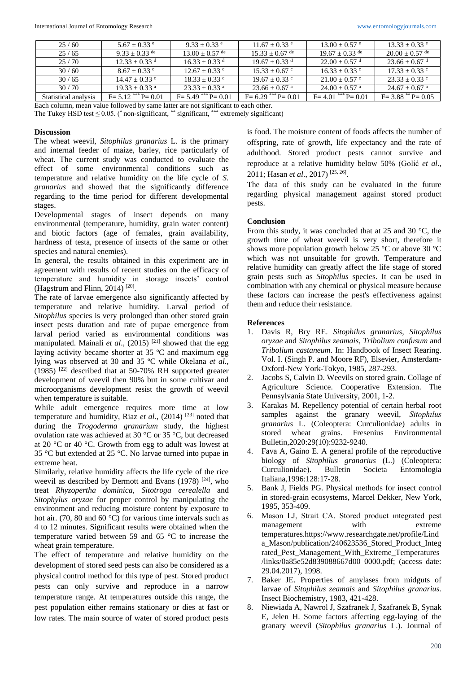| 25/60                | $5.67 + 0.33$ e             | $9.33 + 0.33$ e             | $11.67 + 0.33$ <sup>e</sup>  | $13.00 + 0.57$ e            | $13.33 + 0.33$ <sup>e</sup> |
|----------------------|-----------------------------|-----------------------------|------------------------------|-----------------------------|-----------------------------|
| 25/65                | $9.33 + 0.33$ de            | $13.00 + 0.57$ de           | $15.33 + 0.67$ <sup>de</sup> | $19.67 + 0.33$ de           | $20.00 + 0.57$ de           |
| 25/70                | $12.33 + 0.33$ d            | $16.33 + 0.33$ d            | $19.67 + 0.33$ d             | $22.00 + 0.57$ <sup>d</sup> | $23.66 + 0.67$ <sup>d</sup> |
| 30/60                | $8.67 + 0.33$ c             | $12.67 + 0.33$ c            | $15.33 + 0.67$ c             | $16.33 + 0.33$ c            | $17.33 + 0.33$ c            |
| 30/65                | $14.47 + 0.33$ c            | $18.33 + 0.33$ c            | $19.67 + 0.33$ c             | $21.00 + 0.57$ c            | $23.33 + 0.33$ c            |
| 30/70                | $19.33 + 0.33$ <sup>a</sup> | $23.33 + 0.33$ <sup>a</sup> | $23.66 + 0.67$ <sup>a</sup>  | $24.00 + 0.57$ <sup>a</sup> | $24.67 + 0.67$ <sup>a</sup> |
| Statistical analysis | $F = 5.12$ *** $P = 0.01$   | $F = 5.49$ *** $P = 0.01$   | $F = 6.29$ *** $P = 0.01$    | $F = 4.01$ *** $P = 0.01$   | $F = 3.88$ ** $P = 0.05$    |

Each column, mean value followed by same latter are not significant to each other.

The Tukey HSD test  $\leq 0.05$ . (\* non-significant, \*\* significant, \*\*\* extremely significant)

## **Discussion**

The wheat weevil, *Sitophilus granarius* L. is the primary and internal feeder of maize, barley, rice particularly of wheat. The current study was conducted to evaluate the effect of some environmental conditions such as temperature and relative humidity on the life cycle of *S. granarius* and showed that the significantly difference regarding to the time period for different developmental stages.

Developmental stages of insect depends on many environmental (temperature, humidity, grain water content) and biotic factors (age of females, grain availability, hardness of testa, presence of insects of the same or other species and natural enemies).

In general, the results obtained in this experiment are in agreement with results of recent studies on the efficacy of temperature and humidity in storage insects' control (Hagstrum and Flinn, 2014)<sup>[20]</sup>.

The rate of larvae emergence also significantly affected by temperature and relative humidity. Larval period of *Sitophilus* species is very prolonged than other stored grain insect pests duration and rate of pupae emergence from larval period varied as environmental conditions was manipulated. Mainali *et al.*, (2015)<sup>[21]</sup> showed that the egg laying activity became shorter at 35 ºC and maximum egg lying was observed at 30 and 35 ºC while Okelana *et al*.,  $(1985)$ <sup>[22]</sup> described that at 50-70% RH supported greater development of weevil then 90% but in some cultivar and microorganisms development resist the growth of weevil when temperature is suitable.

While adult emergence requires more time at low temperature and humidity, Riaz *et al*., (2014) [23] noted that during the *Trogoderma granarium* study, the highest ovulation rate was achieved at 30 °C or 35 °C, but decreased at 20 °C or 40 °C. Growth from egg to adult was lowest at 35 °C but extended at 25 °C. No larvae turned into pupae in extreme heat.

Similarly, relative humidity affects the life cycle of the rice weevil as described by Dermott and Evans  $(1978)$  <sup>[24]</sup>, who treat *Rhyzopertha dominica, Sitotroga cerealella* and *Sitophylus oryzae* for proper control by manipulating the environment and reducing moisture content by exposure to hot air. (70, 80 and 60 °C) for various time intervals such as 4 to 12 minutes. Significant results were obtained when the temperature varied between 59 and 65 °C to increase the wheat grain temperature.

The effect of temperature and relative humidity on the development of stored seed pests can also be considered as a physical control method for this type of pest. Stored product pests can only survive and reproduce in a narrow temperature range. At temperatures outside this range, the pest population either remains stationary or dies at fast or low rates. The main source of water of stored product pests is food. The moisture content of foods affects the number of offspring, rate of growth, life expectancy and the rate of adulthood. Stored product pests cannot survive and reproduce at a relative humidity below 50% (Golić *et al*., 2011; Hasan *et al*., 2017) [25, 26] .

The data of this study can be evaluated in the future regarding physical management against stored product pests.

# **Conclusion**

From this study, it was concluded that at 25 and 30 °C, the growth time of wheat weevil is very short, therefore it shows more population growth below 25  $\degree$ C or above 30  $\degree$ C which was not unsuitable for growth. Temperature and relative humidity can greatly affect the life stage of stored grain pests such as *Sitophilus* species. It can be used in combination with any chemical or physical measure because these factors can increase the pest's effectiveness against them and reduce their resistance.

## **References**

- 1. Davis R, Bry RE. *Sitophilus granarius*, *Sitophilus oryzae* and *Sitophilus zeamais*, *Tribolium confusum* and *Tribolium castaneum*. In: Handbook of Insect Rearing. Vol. I. (Singh P. and Moore RF), Elsevier, Amsterdam-Oxford-New York-Tokyo, 1985, 287-293.
- 2. Jacobs S, Calvin D. Weevils on stored grain. Collage of Agriculture Science. Cooperative Extension. The Pennsylvania State University, 2001, 1-2.
- 3. Karakas M. Repellency potential of certain herbal root samples against the granary weevil, *Sitophılus granarius* L. (Coleoptera: Curculionidae) adults in stored wheat grains. Fresenius Environmental Bulletin,2020:29(10):9232-9240.
- 4. Fava A, Gaino E. A general profile of the reproductive biology of *Sitophilus granarius* (L.) (Coleoptera: Curculionidae). Bulletin Societa Entomologia Italiana,1996:128:17-28.
- 5. Bank J, Fields PG. Physical methods for insect control in stored-grain ecosystems, Marcel Dekker, New York, 1995, 353-409.
- 6. Mason LJ, Strait CA. Stored product ıntegrated pest management with extreme temperatures.https://www.researchgate.net/profile/Lind a\_Mason/publication/240623536\_Stored\_Product\_Integ rated\_Pest\_Management\_With\_Extreme\_Temperatures /links/0a85e52d839088667d00 0000.pdf; (access date: 29.04.2017), 1998.
- 7. Baker JE. Properties of amylases from midguts of larvae of *Sitophilus zeamais* and *Sitophilus granarius.* Insect Biochemistry, 1983, 421-428.
- 8. Niewiada A, Nawrol J, Szafranek J, Szafranek B, Synak E, Jelen H. Some factors affecting egg-laying of the granary weevil (*Sitophilus granarius* L.). Journal of